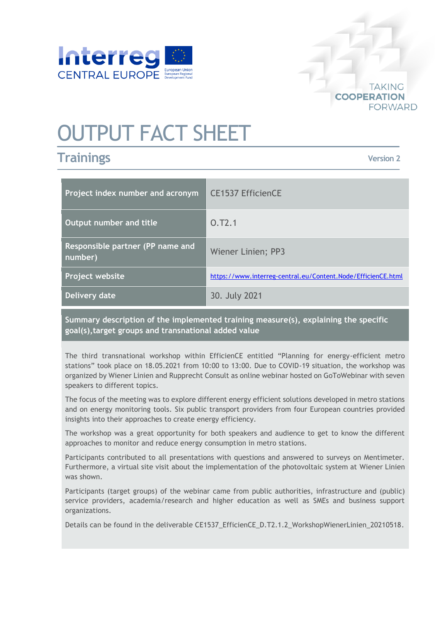

# OUTPUT FACT SHEET

# **Trainings**

**TAKING COOPERATION FORWARD** 

**Version 2**

| Project index number and acronym                   | <b>CE1537 EfficienCE</b>                                     |
|----------------------------------------------------|--------------------------------------------------------------|
| Output number and title                            | O.T2.1                                                       |
| <b>Responsible partner (PP name and</b><br>number) | Wiener Linien; PP3                                           |
| Project website                                    | https://www.interreg-central.eu/Content.Node/EfficienCE.html |
| Delivery date                                      | 30. July 2021                                                |

**Summary description of the implemented training measure(s), explaining the specific goal(s),target groups and transnational added value**

The third transnational workshop within EfficienCE entitled "Planning for energy-efficient metro stations" took place on 18.05.2021 from 10:00 to 13:00. Due to COVID-19 situation, the workshop was organized by Wiener Linien and Rupprecht Consult as online webinar hosted on GoToWebinar with seven speakers to different topics.

The focus of the meeting was to explore different energy efficient solutions developed in metro stations and on energy monitoring tools. Six public transport providers from four European countries provided insights into their approaches to create energy efficiency.

The workshop was a great opportunity for both speakers and audience to get to know the different approaches to monitor and reduce energy consumption in metro stations.

Participants contributed to all presentations with questions and answered to surveys on Mentimeter. Furthermore, a virtual site visit about the implementation of the photovoltaic system at Wiener Linien was shown.

Participants (target groups) of the webinar came from public authorities, infrastructure and (public) service providers, academia/research and higher education as well as SMEs and business support organizations.

Details can be found in the deliverable CE1537\_EfficienCE\_D.T2.1.2\_WorkshopWienerLinien\_20210518.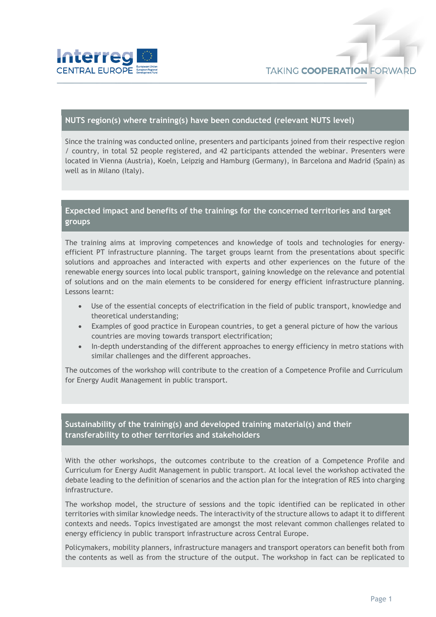

#### **NUTS region(s) where training(s) have been conducted (relevant NUTS level)**

Since the training was conducted online, presenters and participants joined from their respective region / country, in total 52 people registered, and 42 participants attended the webinar. Presenters were located in Vienna (Austria), Koeln, Leipzig and Hamburg (Germany), in Barcelona and Madrid (Spain) as well as in Milano (Italy).

## **Expected impact and benefits of the trainings for the concerned territories and target groups**

The training aims at improving competences and knowledge of tools and technologies for energyefficient PT infrastructure planning. The target groups learnt from the presentations about specific solutions and approaches and interacted with experts and other experiences on the future of the renewable energy sources into local public transport, gaining knowledge on the relevance and potential of solutions and on the main elements to be considered for energy efficient infrastructure planning. Lessons learnt:

- Use of the essential concepts of electrification in the field of public transport, knowledge and theoretical understanding;
- Examples of good practice in European countries, to get a general picture of how the various countries are moving towards transport electrification;
- In-depth understanding of the different approaches to energy efficiency in metro stations with similar challenges and the different approaches.

The outcomes of the workshop will contribute to the creation of a Competence Profile and Curriculum for Energy Audit Management in public transport.

## **Sustainability of the training(s) and developed training material(s) and their transferability to other territories and stakeholders**

With the other workshops, the outcomes contribute to the creation of a Competence Profile and Curriculum for Energy Audit Management in public transport. At local level the workshop activated the debate leading to the definition of scenarios and the action plan for the integration of RES into charging infrastructure.

The workshop model, the structure of sessions and the topic identified can be replicated in other territories with similar knowledge needs. The interactivity of the structure allows to adapt it to different contexts and needs. Topics investigated are amongst the most relevant common challenges related to energy efficiency in public transport infrastructure across Central Europe.

Policymakers, mobility planners, infrastructure managers and transport operators can benefit both from the contents as well as from the structure of the output. The workshop in fact can be replicated to